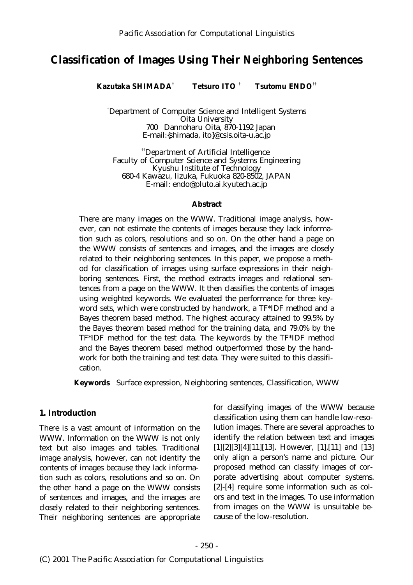# **Classification of Images Using Their Neighboring Sentences**

† † †† **Kazutaka SHIMADA Tetsuro ITO Tsutomu ENDO**

Department of Computer Science and Intelligent Systems † Oita University 700 Dannoharu Oita, 870-1192 Japan E-mail:{shimada, ito}@csis.oita-u.ac.jp

Department of Artificial Intelligence †† Faculty of Computer Science and Systems Engineering Kyushu Institute of Technology 680-4 Kawazu, Iizuka, Fukuoka 820-8502, JAPAN E-mail: endo@pluto.ai.kyutech.ac.jp

#### **Abstract**

There are many images on the WWW. Traditional image analysis, however, can not estimate the contents of images because they lack information such as colors, resolutions and so on. On the other hand a page on the WWW consists of sentences and images, and the images are closely related to their neighboring sentences. In this paper, we propose a method for classification of images using surface expressions in their neighboring sentences. First, the method extracts images and relational sentences from a page on the WWW. It then classifies the contents of images using weighted keywords. We evaluated the performance for three keyword sets, which were constructed by handwork, a TF\*IDF method and a Bayes theorem based method. The highest accuracy attained to 99.5% by the Bayes theorem based method for the training data, and 79.0% by the TF\*IDF method for the test data. The keywords by the TF\*IDF method and the Bayes theorem based method outperformed those by the handwork for both the training and test data. They were suited to this classification.

**Keywords** Surface expression, Neighboring sentences, Classification, WWW

### **1. Introduction**

There is a vast amount of information on the WWW. Information on the WWW is not only text but also images and tables. Traditional image analysis, however, can not identify the contents of images because they lack information such as colors, resolutions and so on. On the other hand a page on the WWW consists of sentences and images, and the images are closely related to their neighboring sentences. Their neighboring sentences are appropriate

for classifying images of the WWW because classification using them can handle low-resolution images. There are several approaches to identify the relation between text and images [1][2][3][4][11][13]. However, [1],[11] and [13] only align a person's name and picture. Our proposed method can classify images of corporate advertising about computer systems. [2]-[4] require some information such as colors and text in the images. To use information from images on the WWW is unsuitable because of the low-resolution.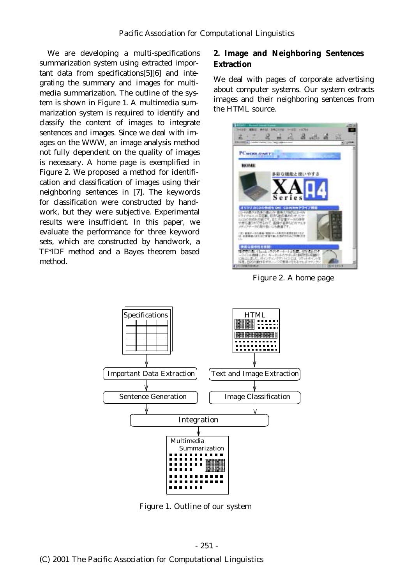We are developing a multi-specifications summarization system using extracted important data from specifications[5][6] and integrating the summary and images for multimedia summarization. The outline of the system is shown in Figure 1. A multimedia summarization system is required to identify and classify the content of images to integrate sentences and images. Since we deal with images on the WWW, an image analysis method not fully dependent on the quality of images is necessary. A home page is exemplified in Figure 2. We proposed a method for identification and classification of images using their neighboring sentences in [7]. The keywords for classification were constructed by handwork, but they were subjective. Experimental results were insufficient. In this paper, we evaluate the performance for three keyword sets, which are constructed by handwork, a TF\*IDF method and a Bayes theorem based method.

# **2. Image and Neighboring Sentences Extraction**

We deal with pages of corporate advertising about computer systems. Our system extracts images and their neighboring sentences from the HTML source.



Figure 2. A home page



Figure 1. Outline of our system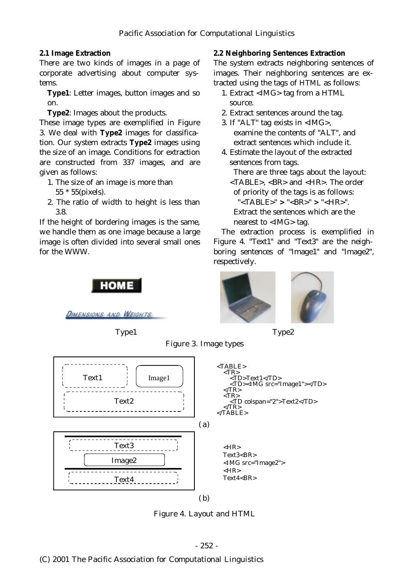### **2.1 Image Extraction**

There are two kinds of images in a page of corporate advertising about computer systems.

**Type1**: Letter images, button images and so on.

**Type2**: Images about the products.

These image types are exemplified in Figure 3. We deal with Type2 images for classification. Our system extracts **Type2** images using the size of an image. Conditions for extraction are constructed from 337 images, and are given as follows:

- 1. The size of an image is more than 55 \* 55(pixels).
- 2. The ratio of width to height is less than 3.8.

If the height of bordering images is the same, we handle them as one image because a large image is often divided into several small ones for the WWW.

НОМЕ

DIMENSIONS AND WEIGHTS

#### **2.2 Neighboring Sentences Extraction**

The system extracts neighboring sentences of images. Their neighboring sentences are extracted using the tags of HTML as follows:

- 1. Extract <IMG> tag from a HTML source.
- 2. Extract sentences around the tag.
- 3. If "ALT" tag exists in <IMG>, examine the contents of "ALT", and extract sentences which include it.
- 4. Estimate the layout of the extracted sentences from tags.

There are three tags about the layout: <TABLE>, <BR> and <HR>. The order of priority of the tags is as follows:

"<TABLE>" > "<BR>" > "<HR>".

Extract the sentences which are the nearest to <IMG> tag.

The extraction process is exemplified in Figure 4. "Text1" and "Text3" are the neighboring sentences of "Image1" and "Image2", respectively.



Type1 Type2





Figure 4. Layout and HTML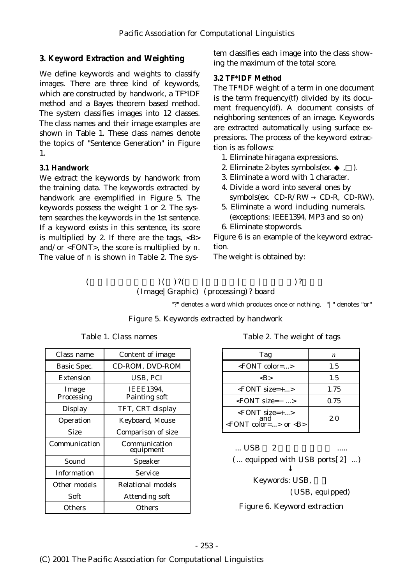# **3. Keyword Extraction and Weighting**

We define keywords and weights to classify images. There are three kind of keywords, which are constructed by handwork, a TF\*IDF method and a Bayes theorem based method. The system classifies images into 12 classes. The class names and their image examples are shown in Table 1. These class names denote the topics of "Sentence Generation" in Figure 1.

### **3.1 Handwork**

We extract the keywords by handwork from the training data. The keywords extracted by handwork are exemplified in Figure 5. The keywords possess the weight 1 or 2. The system searches the keywords in the 1st sentence. If a keyword exists in this sentence, its score is multiplied by 2. If there are the tags,  $\langle B \rangle$ and/or  $\leq$  FONT $>$ , the score is multiplied by *n*. The value of  $n$  is shown in Table 2. The system classifies each image into the class showing the maximum of the total score.

### **3.2 TF\*IDF Method**

The TF\*IDF weight of a term in one document is the term frequency $(t$ *f*) divided by its document frequency(df). A document consists of neighboring sentences of an image. Keywords are extracted automatically using surface expressions. The process of the keyword extraction is as follows:

- 1. Eliminate hiragana expressions.
- 2. Eliminate 2-bytes symbols $(ex. , )$ .
- 3. Eliminate a word with 1 character.
- 4. Divide a word into several ones by  $symbols(ex. CD-R/RW$  CD-R, CD-RW).
- 5. Eliminate a word including numerals. (exceptions: IEEE1394, MP3 and so on)
- 6. Eliminate stopwords.

Figure 6 is an example of the keyword extraction.

The weight is obtained by:

 $($  | | )( )?( | | | )?  $( \text{Image} | \text{Graphic})$   $( \text{processing} )$ ? board

"?" denotes a word which produces once or nothing, "|" denotes "or"

### Figure 5. Keywords extracted by handwork

| Class name          | <b>Content of image</b>                  |
|---------------------|------------------------------------------|
| <b>Basic Spec.</b>  | CD-ROM, DVD-ROM                          |
| <b>Extension</b>    | USB, PCI                                 |
| Image<br>Processing | <b>IEEE1394,</b><br><b>Painting soft</b> |
| <b>Display</b>      | TFT, CRT display                         |
| Operation           | <b>Keyboard, Mouse</b>                   |
| <b>Size</b>         | <b>Comparison of size</b>                |
| Communication       | Communication<br>equipment               |
| Sound               | <b>Speaker</b>                           |
| <b>Information</b>  | <b>Service</b>                           |
| Other models        | <b>Relational models</b>                 |
| Soft                | <b>Attending soft</b>                    |
| <b>Others</b>       | <b>Others</b>                            |

Table 1. Class names

|  |  |  | Table 2. The weight of tags |  |  |
|--|--|--|-----------------------------|--|--|
|--|--|--|-----------------------------|--|--|

| Tag                                                            | n    |
|----------------------------------------------------------------|------|
| $\leq$ FONT color=>                                            | 1.5  |
| <b></b>                                                        | 1.5  |
| $\leq$ FONT size=+>                                            | 1.75 |
| $\epsilon$ FONT size=<br>$\ldots$ >                            | 0.75 |
| $\leq$ FONT size=+><br>and<br>$\leq$ FONT color=> or $\leq$ B> | 2.0  |

 $...$  USB  $2$ 

 $(...$  equipped with USB ports $[2]$  ...)

Keywords: USB, (USB, equipped) Figure 6. Keyword extraction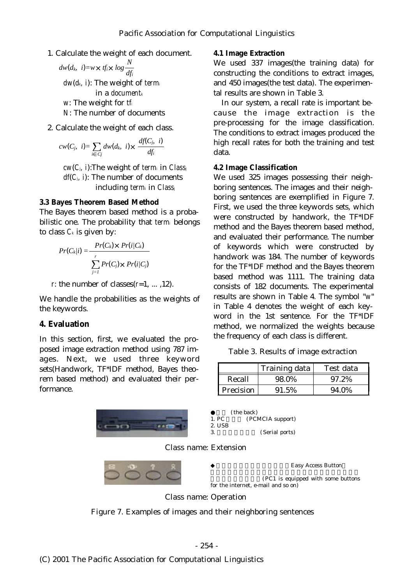1. Calculate the weight of each document.

$$
dw(d_k, i) = w \times tf_i \times log \frac{N}{df_i}
$$

 $dw(d_k, i)$ : The weight of *term* in a *documentk w*. The weight for *tf N*: The number of documents

2. Calculate the weight of each class.

$$
cw(C_j, i) = \sum_{i \subset C_j} dw(d_k, i) \times \frac{df(C_j, i)}{df_i}
$$

 $cw(C_i, i)$ : The weight of *term* in *Class*  $df(C_j, i)$ : The number of documents including *term* in *Class* 

### **3.3 Bayes Theorem Based Method**

The Bayes theorem based method is a probabilistic one. The probability that *termi* belongs to class  $C_k$  is given by:

$$
Pr(C_k|i) = \frac{Pr(C_k) \times Pr(i/C_k)}{\sum_{j=1}^{r} Pr(C_j) \times Pr(i/C_j)}
$$

*r*: the number of classes( $r=1$ , ..., 12).

We handle the probabilities as the weights of the keywords.

### **4. Evaluation**

In this section, first, we evaluated the proposed image extraction method using 787 images. Next, we used three keyword sets(Handwork, TF\*IDF method, Bayes theorem based method) and evaluated their performance.



## **4.1 Image Extraction**

We used 337 images(the training data) for constructing the conditions to extract images, and 450 images(the test data). The experimental results are shown in Table 3.

In our system, a recall rate is important because the image extraction is the pre-processing for the image classification. The conditions to extract images produced the high recall rates for both the training and test data.

#### **4.2 Image Classification**

We used 325 images possessing their neighboring sentences. The images and their neighboring sentences are exemplified in Figure 7. First, we used the three keywords sets, which were constructed by handwork, the TF\*IDF method and the Bayes theorem based method, and evaluated their performance. The number of keywords which were constructed by handwork was 184. The number of keywords for the TF\*IDF method and the Bayes theorem based method was 1111. The training data consists of 182 documents. The experimental results are shown in Table 4. The symbol "w" in Table 4 denotes the weight of each keyword in the 1st sentence. For the TF\*IDF method, we normalized the weights because the frequency of each class is different.

#### Table 3. Results of image extraction

|             | Training data | Test data |
|-------------|---------------|-----------|
| Recall      | 98.0%         | 97.2%     |
| l Precision | 91.5%         | 94.0%     |

 $1. PC$  (the back)<br> $1. PC$  (PC) (PCMCIA support) 2. USB 3. Serial ports ( )

#### Class name: Extension



**Easy Access Button** 

(PC1 is equipped with some buttons for the internet, e-mail and so on)

Class name: Operation

Figure 7. Examples of images and their neighboring sentences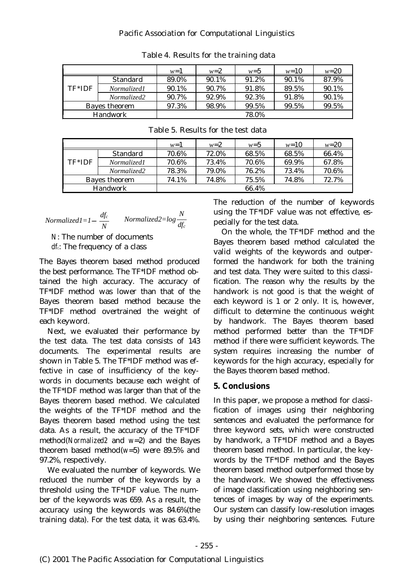### Pacific Association for Computational Linguistics

|                          |                    | $w=1$ | $w=2$ | $w=5$ | $w=10$ | $w = 20$ |
|--------------------------|--------------------|-------|-------|-------|--------|----------|
|                          | <b>Standard</b>    | 89.0% | 90.1% | 91.2% | 90.1%  | 87.9%    |
| TF*IDF                   | <i>Normalized1</i> | 90.1% | 90.7% | 91.8% | 89.5%  | 90.1%    |
|                          | <i>Normalized2</i> | 90.7% | 92.9% | 92.3% | 91.8%  | 90.1%    |
| <b>Bayes theorem</b>     |                    | 97.3% | 98.9% | 99.5% | 99.5%  | 99.5%    |
| <b>Handwork</b><br>78.0% |                    |       |       |       |        |          |

Table 4. Results for the training data

|                          |                    | $w=1$ | $w=2$ | $w=5$ | $w=10$ | $w = 20$ |
|--------------------------|--------------------|-------|-------|-------|--------|----------|
| $TF*IDF$                 | <b>Standard</b>    | 70.6% | 72.0% | 68.5% | 68.5%  | 66.4%    |
|                          | <i>Normalized1</i> | 70.6% | 73.4% | 70.6% | 69.9%  | 67.8%    |
|                          | Normalized2        | 78.3% | 79.0% | 76.2% | 73.4%  | 70.6%    |
| <b>Bayes theorem</b>     |                    | 74.1% | 74.8% | 75.5% | 74.8%  | 72.7%    |
| <b>Handwork</b><br>66.4% |                    |       |       |       |        |          |

$$
Normalized1=1 \quad \frac{df_c}{N} \qquad Normalized2=log \frac{N}{df_c}
$$

*N*: The number of documents *dfc*: The frequency of a class

The Bayes theorem based method produced the best performance. The TF\*IDF method obtained the high accuracy. The accuracy of TF\*IDF method was lower than that of the Bayes theorem based method because the TF\*IDF method overtrained the weight of each keyword.

Next, we evaluated their performance by the test data. The test data consists of 143 documents. The experimental results are shown in Table 5. The TF\*IDF method was effective in case of insufficiency of the keywords in documents because each weight of the TF\*IDF method was larger than that of the Bayes theorem based method. We calculated the weights of the TF\*IDF method and the Bayes theorem based method using the test data. As a result, the accuracy of the TF\*IDF method(*Normalized2* and  $w=2$ ) and the Bayes theorem based method( $w=5$ ) were 89.5% and 97.2%, respectively.

We evaluated the number of keywords. We reduced the number of the keywords by a threshold using the TF\*IDF value. The number of the keywords was 659. As a result, the accuracy using the keywords was 84.6%(the training data). For the test data, it was 63.4%.

The reduction of the number of keywords using the TF\*IDF value was not effective, especially for the test data.

On the whole, the TF\*IDF method and the Bayes theorem based method calculated the valid weights of the keywords and outperformed the handwork for both the training and test data. They were suited to this classification. The reason why the results by the handwork is not good is that the weight of each keyword is 1 or 2 only. It is, however, difficult to determine the continuous weight by handwork. The Bayes theorem based method performed better than the TF\*IDF method if there were sufficient keywords. The system requires increasing the number of keywords for the high accuracy, especially for the Bayes theorem based method.

### **5. Conclusions**

In this paper, we propose a method for classification of images using their neighboring sentences and evaluated the performance for three keyword sets, which were constructed by handwork, a TF\*IDF method and a Bayes theorem based method. In particular, the keywords by the TF\*IDF method and the Bayes theorem based method outperformed those by the handwork. We showed the effectiveness of image classification using neighboring sentences of images by way of the experiments. Our system can classify low-resolution images by using their neighboring sentences. Future